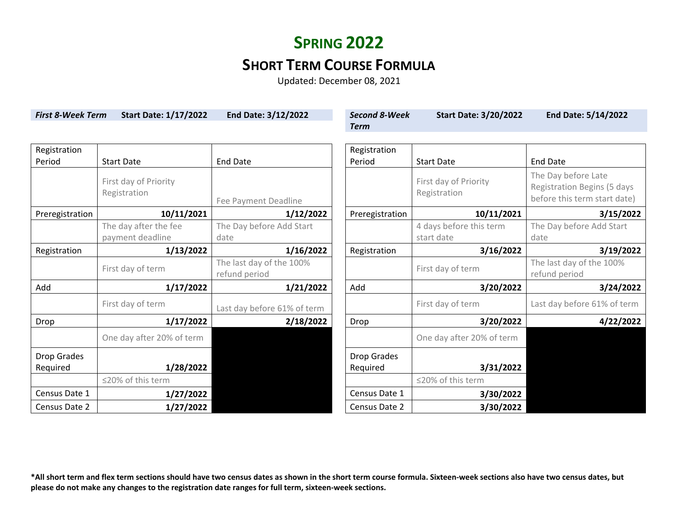### **SHORT TERM COURSE FORMULA**

Updated: December 08, 2021

| <b>First 8-Week Term</b> | <b>Start Date: 1/17/2022</b> | End Date: 3/12/2022         | <b>Second 8-Week</b> | <b>Start Date: 3/20/2022</b> | End Date: 5/14/2022                |  |
|--------------------------|------------------------------|-----------------------------|----------------------|------------------------------|------------------------------------|--|
|                          |                              |                             | <b>Term</b>          |                              |                                    |  |
|                          |                              |                             |                      |                              |                                    |  |
| Registration             |                              |                             | Registration         |                              |                                    |  |
| Period                   | <b>Start Date</b>            | <b>End Date</b>             | Period               | <b>Start Date</b>            | <b>End Date</b>                    |  |
|                          | First day of Priority        |                             |                      | First day of Priority        | The Day before Late                |  |
|                          | Registration                 |                             |                      | Registration                 | <b>Registration Begins (5 days</b> |  |
|                          |                              | Fee Payment Deadline        |                      |                              | before this term start date)       |  |
| Preregistration          | 10/11/2021                   | 1/12/2022                   | Preregistration      | 10/11/2021                   | 3/15/2022                          |  |
|                          | The day after the fee        | The Day before Add Start    |                      | 4 days before this term      | The Day before Add Start           |  |
|                          | payment deadline             | date                        |                      | start date                   | date                               |  |
| Registration             | 1/13/2022                    | 1/16/2022                   | Registration         | 3/16/2022                    | 3/19/2022                          |  |
|                          | First day of term            | The last day of the 100%    |                      | First day of term            | The last day of the 100%           |  |
|                          |                              | refund period               |                      |                              | refund period                      |  |
| Add                      | 1/17/2022                    | 1/21/2022                   | Add                  | 3/20/2022                    | 3/24/2022                          |  |
|                          | First day of term            | Last day before 61% of term |                      | First day of term            | Last day before 61% of term        |  |
| Drop                     | 1/17/2022                    | 2/18/2022                   | Drop                 | 3/20/2022                    | 4/22/2022                          |  |
|                          | One day after 20% of term    |                             |                      | One day after 20% of term    |                                    |  |
| Drop Grades              |                              |                             | Drop Grades          |                              |                                    |  |
| Required                 | 1/28/2022                    |                             | Required             | 3/31/2022                    |                                    |  |
|                          | ≤20% of this term            |                             |                      | ≤20% of this term            |                                    |  |
| Census Date 1            | 1/27/2022                    |                             | Census Date 1        | 3/30/2022                    |                                    |  |
| Census Date 2            | 1/27/2022                    |                             | Census Date 2        | 3/30/2022                    |                                    |  |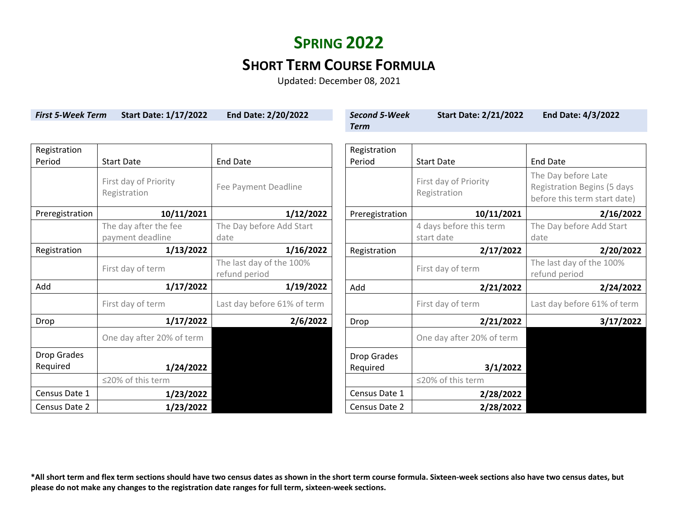### **SHORT TERM COURSE FORMULA**

Updated: December 08, 2021

| <b>First 5-Week Term</b> | <b>Start Date: 1/17/2022</b>          | End Date: 2/20/2022                       | <b>Second 5-Week</b> | <b>Start Date: 2/21/2022</b>          | <b>End Date: 4/3/2022</b>                                                                 |  |
|--------------------------|---------------------------------------|-------------------------------------------|----------------------|---------------------------------------|-------------------------------------------------------------------------------------------|--|
|                          |                                       |                                           | <b>Term</b>          |                                       |                                                                                           |  |
|                          |                                       |                                           |                      |                                       |                                                                                           |  |
| Registration             |                                       |                                           | Registration         |                                       |                                                                                           |  |
| Period                   | <b>Start Date</b>                     | <b>End Date</b>                           | Period               | <b>Start Date</b>                     | <b>End Date</b>                                                                           |  |
|                          | First day of Priority<br>Registration | Fee Payment Deadline                      |                      | First day of Priority<br>Registration | The Day before Late<br><b>Registration Begins (5 days</b><br>before this term start date) |  |
| Preregistration          | 10/11/2021                            | 1/12/2022                                 | Preregistration      | 10/11/2021                            | 2/16/2022                                                                                 |  |
|                          | The day after the fee                 | The Day before Add Start                  |                      | 4 days before this term               | The Day before Add Start                                                                  |  |
|                          | payment deadline                      | date                                      |                      | start date                            | date                                                                                      |  |
| Registration             | 1/13/2022                             | 1/16/2022                                 | Registration         | 2/17/2022                             | 2/20/2022                                                                                 |  |
|                          | First day of term                     | The last day of the 100%<br>refund period |                      | First day of term                     | The last day of the 100%<br>refund period                                                 |  |
| Add                      | 1/17/2022                             | 1/19/2022                                 | Add                  | 2/21/2022                             | 2/24/2022                                                                                 |  |
|                          | First day of term                     | Last day before 61% of term               |                      | First day of term                     | Last day before 61% of term                                                               |  |
| Drop                     | 1/17/2022                             | 2/6/2022                                  | Drop                 | 2/21/2022                             | 3/17/2022                                                                                 |  |
|                          | One day after 20% of term             |                                           |                      | One day after 20% of term             |                                                                                           |  |
| Drop Grades              |                                       |                                           | Drop Grades          |                                       |                                                                                           |  |
| Required                 | 1/24/2022                             |                                           | Required             | 3/1/2022                              |                                                                                           |  |
|                          | ≤20% of this term                     |                                           |                      | ≤20% of this term                     |                                                                                           |  |
| Census Date 1            | 1/23/2022                             |                                           | Census Date 1        | 2/28/2022                             |                                                                                           |  |
| Census Date 2            | 1/23/2022                             |                                           | Census Date 2        | 2/28/2022                             |                                                                                           |  |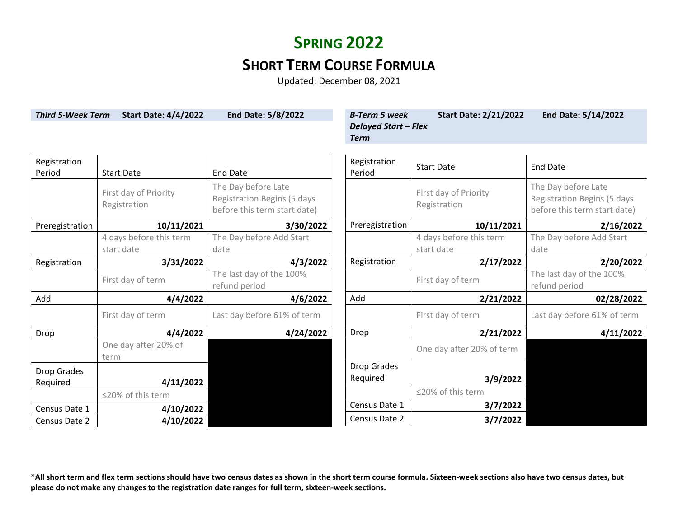## **SHORT TERM COURSE FORMULA**

Updated: December 08, 2021

| <b>Third 5-Week Term</b> | <b>Start Date: 4/4/2022</b>           | <b>End Date: 5/8/2022</b>                                                                 | <b>B-Term 5 week</b><br><b>Delayed Start - Flex</b><br><b>Term</b> | <b>Start Date: 2/21/2022</b>          | End Date: 5/14/2022                                                                |  |
|--------------------------|---------------------------------------|-------------------------------------------------------------------------------------------|--------------------------------------------------------------------|---------------------------------------|------------------------------------------------------------------------------------|--|
| Registration<br>Period   | <b>Start Date</b>                     | <b>End Date</b>                                                                           | Registration<br>Period                                             | <b>Start Date</b>                     | <b>End Date</b>                                                                    |  |
|                          | First day of Priority<br>Registration | The Day before Late<br><b>Registration Begins (5 days</b><br>before this term start date) |                                                                    | First day of Priority<br>Registration | The Day before Late<br>Registration Begins (5 days<br>before this term start date) |  |
| Preregistration          | 10/11/2021                            | 3/30/2022                                                                                 | Preregistration                                                    | 10/11/2021                            | 2/16/2022                                                                          |  |
|                          | 4 days before this term<br>start date | The Day before Add Start<br>date                                                          |                                                                    | 4 days before this term<br>start date | The Day before Add Start<br>date                                                   |  |
| Registration             | 3/31/2022                             | 4/3/2022                                                                                  | Registration                                                       | 2/17/2022                             | 2/20/2022                                                                          |  |
|                          | First day of term                     | The last day of the 100%<br>refund period                                                 |                                                                    | First day of term                     | The last day of the 100%<br>refund period                                          |  |
| Add                      | 4/4/2022                              | 4/6/2022                                                                                  | Add                                                                | 2/21/2022                             | 02/28/2022                                                                         |  |
|                          | First day of term                     | Last day before 61% of term                                                               |                                                                    | First day of term                     | Last day before 61% of term                                                        |  |
| Drop                     | 4/4/2022                              | 4/24/2022                                                                                 | Drop                                                               | 2/21/2022                             | 4/11/2022                                                                          |  |
|                          | One day after 20% of<br>term          |                                                                                           |                                                                    | One day after 20% of term             |                                                                                    |  |
| Drop Grades<br>Required  | 4/11/2022                             |                                                                                           | <b>Drop Grades</b><br>Required                                     | 3/9/2022                              |                                                                                    |  |
|                          | ≤20% of this term                     |                                                                                           |                                                                    | ≤20% of this term                     |                                                                                    |  |
| Census Date 1            | 4/10/2022                             |                                                                                           | Census Date 1                                                      | 3/7/2022                              |                                                                                    |  |
| Census Date 2            | 4/10/2022                             |                                                                                           | Census Date 2                                                      | 3/7/2022                              |                                                                                    |  |